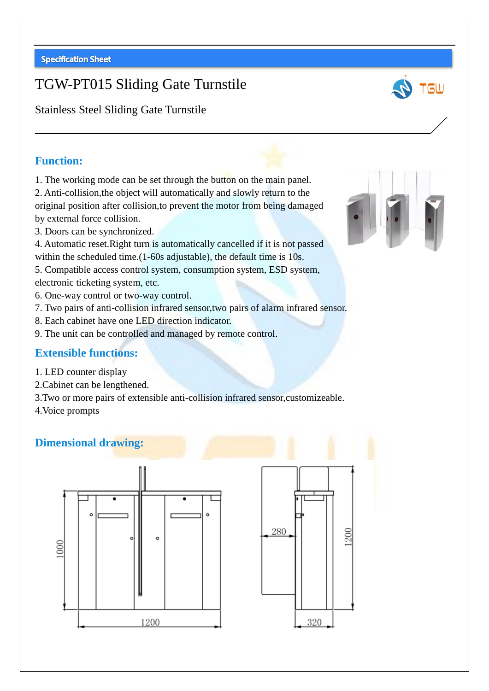# TGW-PT015 Sliding Gate Turnstile



Stainless Steel Sliding Gate Turnstile

### **Function:**

1. The working mode can be set through the button on the main panel.

2. Anti-collision,the object will automatically and slowly return to the original position after collision,to prevent the motor from being damaged by external force collision.

3. Doors can be synchronized.

4. Automatic reset.Right turn is automatically cancelled if it is not passed within the scheduled time.<sup>(1-60s adjustable)</sup>, the default time is 10s.

5. Compatible access control system, consumption system, ESD system, electronic ticketing system, etc.

- 6. One-way control or two-way control.
- 7. Two pairs of anti-collision infrared sensor,two pairs of alarm infrared sensor.
- 8. Each cabinet have one LED direction indicator.
- 9. The unit can be controlled and managed by remote control.

#### **Extensible functions:**

- 1. LED counter display
- 2.Cabinet can be lengthened.
- 3.Two or more pairs of extensible anti-collision infrared sensor,customizeable.
- 4.Voice prompts

#### **Dimensional drawing:**